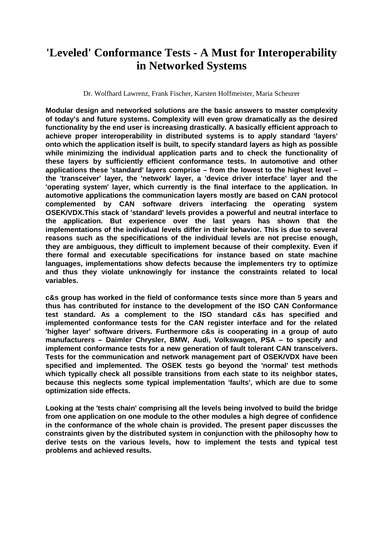# **'Leveled' Conformance Tests - A Must for Interoperability in Networked Systems**

Dr. Wolfhard Lawrenz, Frank Fischer, Karsten Hoffmeister, Maria Scheurer

**Modular design and networked solutions are the basic answers to master complexity of today's and future systems. Complexity will even grow dramatically as the desired functionality by the end user is increasing drastically. A basically efficient approach to achieve proper interoperability in distributed systems is to apply standard 'layers' onto which the application itself is built, to specify standard layers as high as possible while minimizing the individual application parts and to check the functionality of these layers by sufficiently efficient conformance tests. In automotive and other applications these 'standard' layers comprise – from the lowest to the highest level – the 'transceiver' layer, the 'network' layer, a 'device driver interface' layer and the 'operating system' layer, which currently is the final interface to the application. In automotive applications the communication layers mostly are based on CAN protocol complemented by CAN software drivers interfacing the operating system OSEK/VDX.This stack of 'standard' levels provides a powerful and neutral interface to the application. But experience over the last years has shown that the implementations of the individual levels differ in their behavior. This is due to several reasons such as the specifications of the individual levels are not precise enough, they are ambiguous, they difficult to implement because of their complexity. Even if there formal and executable specifications for instance based on state machine languages, implementations show defects because the implementers try to optimize and thus they violate unknowingly for instance the constraints related to local variables.**

**c&s group has worked in the field of conformance tests since more than 5 years and thus has contributed for instance to the development of the ISO CAN Conformance test standard. As a complement to the ISO standard c&s has specified and implemented conformance tests for the CAN register interface and for the related 'higher layer' software drivers. Furthermore c&s is cooperating in a group of auto manufacturers – Daimler Chrysler, BMW, Audi, Volkswagen, PSA – to specify and implement conformance tests for a new generation of fault tolerant CAN transceivers. Tests for the communication and network management part of OSEK/VDX have been specified and implemented. The OSEK tests go beyond the 'normal' test methods which typically check all possible transitions from each state to its neighbor states, because this neglects some typical implementation 'faults', which are due to some optimization side effects.**

**Looking at the 'tests chain' comprising all the levels being involved to build the bridge from one application on one module to the other modules a high degree of confidence in the conformance of the whole chain is provided. The present paper discusses the constraints given by the distributed system in conjunction with the philosophy how to derive tests on the various levels, how to implement the tests and typical test problems and achieved results.**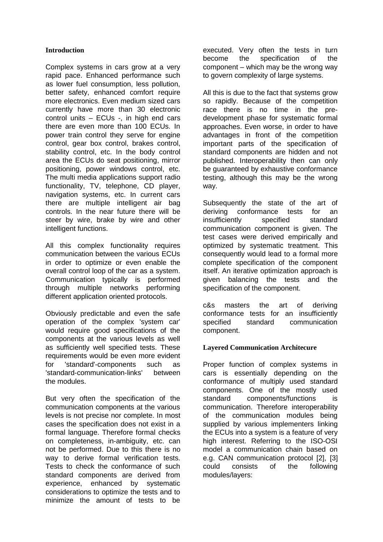## **Introduction**

Complex systems in cars grow at a very rapid pace. Enhanced performance such as lower fuel consumption, less pollution, better safety, enhanced comfort require more electronics. Even medium sized cars currently have more than 30 electronic control units – ECUs -, in high end cars there are even more than 100 ECUs. In power train control they serve for engine control, gear box control, brakes control, stability control, etc. In the body control area the ECUs do seat positioning, mirror positioning, power windows control, etc. The multi media applications support radio functionality, TV, telephone, CD player, navigation systems, etc. In current cars there are multiple intelligent air bag controls. In the near future there will be steer by wire, brake by wire and other intelligent functions.

All this complex functionality requires communication between the various ECUs in order to optimize or even enable the overall control loop of the car as a system. Communication typically is performed through multiple networks performing different application oriented protocols.

Obviously predictable and even the safe operation of the complex 'system car' would require good specifications of the components at the various levels as well as sufficiently well specified tests. These requirements would be even more evident for 'standard'-components such as 'standard-communication-links' between the modules.

But very often the specification of the communication components at the various levels is not precise nor complete. In most cases the specification does not exist in a formal language. Therefore formal checks on completeness, in-ambiguity, etc. can not be performed. Due to this there is no way to derive formal verification tests. Tests to check the conformance of such standard components are derived from experience, enhanced by systematic considerations to optimize the tests and to minimize the amount of tests to be

executed. Very often the tests in turn become the specification of the component – which may be the wrong way to govern complexity of large systems.

All this is due to the fact that systems grow so rapidly. Because of the competition race there is no time in the predevelopment phase for systematic formal approaches. Even worse, in order to have advantages in front of the competition important parts of the specification of standard components are hidden and not published. Interoperability then can only be guaranteed by exhaustive conformance testing, although this may be the wrong way.

Subsequently the state of the art of deriving conformance tests for an insufficiently specified standard communication component is given. The test cases were derived empirically and optimized by systematic treatment. This consequently would lead to a formal more complete specification of the component itself. An iterative optimization approach is given balancing the tests and the specification of the component.

c&s masters the art of deriving conformance tests for an insufficiently specified standard communication component.

## **Layered Communication Architecure**

Proper function of complex systems in cars is essentially depending on the conformance of multiply used standard components. One of the mostly used standard components/functions is communication. Therefore interoperability of the communication modules being supplied by various implementers linking the ECUs into a system is a feature of very high interest. Referring to the ISO-OSI model a communication chain based on e.g. CAN communication protocol [2], [3] could consists of the following modules/layers: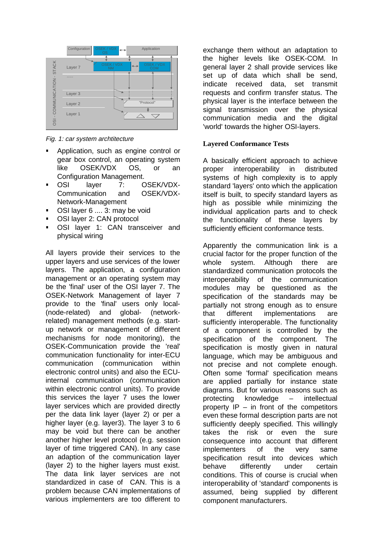<span id="page-2-0"></span>

Fig. 1: car system archtitecture

- Application, such as engine control or gear box control, an operating system like OSEK/VDX OS, or an
- **Configuration Management.**<br>CSI layer 7: OSEK/VDX-Communication and OSEK/VDX-Network-Management
- OSI layer 6 .... 3: may be void
- OSI layer 2: CAN protocol
- **OSI** layer 1: CAN transceiver and physical wiring

All layers provide their services to the upper layers and use services of the lower layers. The application, a configuration management or an operating system may be the 'final' user of the OSI layer 7. The OSEK-Network Management of layer 7 provide to the 'final' users only local- (node-related) and global- (networkrelated) management methods (e.g. startup network or management of different mechanisms for node monitoring), the OSEK-Communication provide the 'real' communication functionality for inter-ECU communication (communication within electronic control units) and also the ECUinternal communication (communication within electronic control units). To provide this services the layer 7 uses the lower layer services which are provided directly per the data link layer (layer 2) or per a higher layer (e.g. layer3). The layer 3 to 6 may be void but there can be another another higher level protocol (e.g. session layer of time triggered CAN). In any case an adaption of the communication layer (layer 2) to the higher layers must exist. The data link layer services are not standardized in case of CAN. This is a problem because CAN implementations of various implementers are too different to

exchange them without an adaptation to the higher levels like OSEK-COM. In general layer 2 shall provide services like set up of data which shall be send, indicate received data, set transmit requests and confirm transfer status. The physical layer is the interface between the signal transmission over the physical communication media and the digital 'world' towards the higher OSI-layers.

## **Layered Conformance Tests**

A basically efficient approach to achieve proper interoperability in distributed systems of high complexity is to apply standard 'layers' onto which the application itself is built, to specify standard layers as high as possible while minimizing the individual application parts and to check the functionality of these layers by sufficiently efficient conformance tests.

Apparently the communication link is a crucial factor for the proper function of the whole system. Although there are standardized communication protocols the interoperability of the communication modules may be questioned as the specification of the standards may be partially not strong enough as to ensure that different implementations are sufficiently interoperable. The functionality of a component is controlled by the specification of the component. The specification is mostly given in natural language, which may be ambiguous and not precise and not complete enough. Often some 'formal' specification means are applied partially for instance state diagrams. But for various reasons such as protecting knowledge – intellectual property IP – in front of the competitors even these formal description parts are not sufficiently deeply specified. This willingly takes the risk or even the sure consequence into account that different implementers of the very same specification result into devices which behave differently under certain conditions. This of course is crucial when interoperability of 'standard' components is assumed, being supplied by different component manufacturers.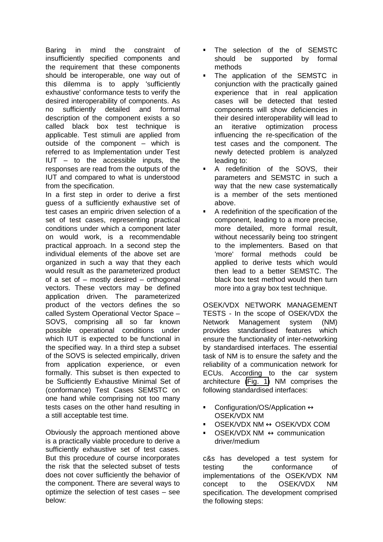Baring in mind the constraint of insufficiently specified components and the requirement that these components should be interoperable, one way out of this dilemma is to apply 'sufficiently exhaustive' conformance tests to verify the desired interoperability of components. As no sufficiently detailed and formal description of the component exists a so called black box test technique is applicable. Test stimuli are applied from outside of the component – which is referred to as Implementation under Test IUT – to the accessible inputs, the responses are read from the outputs of the IUT and compared to what is understood from the specification.

In a first step in order to derive a first guess of a sufficiently exhaustive set of test cases an empiric driven selection of a set of test cases, representing practical conditions under which a component later on would work, is a recommendable practical approach. In a second step the individual elements of the above set are organized in such a way that they each would result as the parameterized product of a set of – mostly desired – orthogonal vectors. These vectors may be defined application driven. The parameterized product of the vectors defines the so called System Operational Vector Space – SOVS, comprising all so far known possible operational conditions under which IUT is expected to be functional in the specified way. In a third step a subset of the SOVS is selected empirically, driven from application experience, or even formally. This subset is then expected to be Sufficiently Exhaustive Minimal Set of (conformance) Test Cases SEMSTC on one hand while comprising not too many tests cases on the other hand resulting in a still acceptable test time.

Obviously the approach mentioned above is a practically viable procedure to derive a sufficiently exhaustive set of test cases. But this procedure of course incorporates the risk that the selected subset of tests does not cover sufficiently the behavior of the component. There are several ways to optimize the selection of test cases – see below:

- The selection of the of SEMSTC should be supported by formal methods
- **The application of the SEMSTC in** conjunction with the practically gained experience that in real application cases will be detected that tested components will show deficiencies in their desired interoperability will lead to an iterative optimization process influencing the re-specification of the test cases and the component. The newly detected problem is analyzed leading to:
- A redefinition of the SOVS, their parameters and SEMSTC in such a way that the new case systematically is a member of the sets mentioned above.
- A redefinition of the specification of the component, leading to a more precise, more detailed, more formal result, without necessarily being too stringent to the implementers. Based on that 'more' formal methods could be applied to derive tests which would then lead to a better SEMSTC. The black box test method would then turn more into a gray box test technique.

OSEK/VDX NETWORK MANAGEMENT TESTS - In the scope of OSEK/VDX the Network Management system (NM) provides standardised features which ensure the functionality of inter-networking by standardised interfaces. The essential task of NM is to ensure the safety and the reliability of a communication network for ECUs. According to the car system architecture (Fig. 1) NM comprises the following standardised interfaces:

- Configuration/OS/Application  $\leftrightarrow$ OSEK/VD[X NM](#page-2-0)
- $\blacksquare$  OSEK/VDX NM  $\leftrightarrow$  OSEK/VDX COM
- $\overline{\phantom{a}}$  OSEK/VDX NM  $\leftrightarrow$  communication driver/medium

c&s has developed a test system for testing the conformance of implementations of the OSEK/VDX NM concept to the OSEK/VDX NM specification. The development comprised the following steps: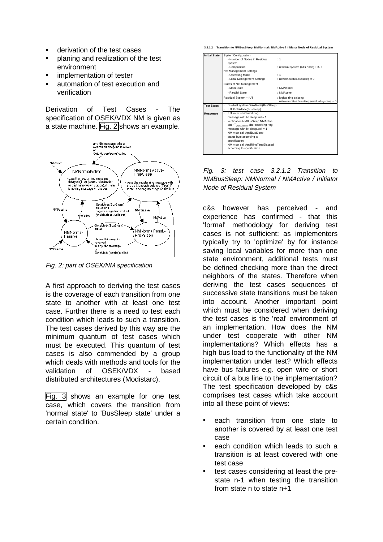- derivation of the test cases
- planing and realization of the test environment
- implementation of tester
- automation of test execution and verification

Derivation of Test Cases - The specification of OSEK/VDX NM is given as a state machine. Fig. 2 shows an example.



Fig. 2: part of OSEK/NM specification

A first approach to deriving the test cases is the coverage of each transition from one state to another with at least one test case. Further there is a need to test each condition which leads to such a transition. The test cases derived by this way are the minimum quantum of test cases which must be executed. This quantum of test cases is also commended by a group which deals with methods and tools for the validation of OSEK/VDX - based distributed architectures (Modistarc).

Fig. 3 shows an example for one test case, which covers the transition from 'normal state' to 'BusSleep state' under a certain condition.



| <b>Initial State</b> | SystemConfiguration                                  |                                             |
|----------------------|------------------------------------------------------|---------------------------------------------|
|                      | - Number of Nodes in Residual                        | $\div$ 1                                    |
|                      | System                                               |                                             |
|                      | - Composition                                        | : residual system (c&s node) + IUT          |
|                      | Net Management Settings                              |                                             |
|                      | - Operating Mode                                     | : 1                                         |
|                      | - Local Management Settings                          | : networkstatus.bussleep = $0$              |
|                      | States of Net Management                             |                                             |
|                      | - Main State                                         | : NMNormal                                  |
|                      | - Parallel State                                     | : NMActive                                  |
|                      | Residual System + IUT                                | : logical ring existing                     |
|                      |                                                      | networkstatus.bussleep(residual system) = 0 |
| <b>Test Steps</b>    | residual system GotoMode(BusSleep)<br>ä,             |                                             |
|                      | IUT GotoMode(BusSleep)<br>٠                          |                                             |
| Response             | IUT must send next ring<br>٠                         |                                             |
|                      | message with bit sleep.ind $= 1$                     |                                             |
|                      | verification NMBusSleep NMActive                     |                                             |
|                      | after T <sub>WaitBusSleep</sub> after receiving ring |                                             |
|                      | message with bit sleep.ack $= 1$                     |                                             |
|                      | NM must call ApplBusSleep<br>٠                       |                                             |
|                      | status byte according to<br>٠                        |                                             |
|                      | specification                                        |                                             |
|                      | NM must call ApplRingTimeElapsed                     |                                             |
|                      | according to specification                           |                                             |
|                      |                                                      |                                             |

Fig. 3: test case 3.2.1.2 Transition to NMBusSleep: NMNormal / NMActive / Initiator Node of Residual System

c&s however has perceived - and experience has confirmed - that this 'formal' methodology for deriving test cases is not sufficient: as implementers typically try to 'optimize' by for instance saving local variables for more than one state environment, additional tests must be defined checking more than the direct neighbors of the states. Therefore when deriving the test cases sequences of successive state transitions must be taken into account. Another important point which must be considered when deriving the test cases is the 'real' environment of an implementation. How does the NM under test cooperate with other NM implementations? Which effects has a high bus load to the functionality of the NM implementation under test? Which effects have bus failures e.g. open wire or short circuit of a bus line to the implementation? The test specification developed by c&s comprises test cases which take account into all these point of views:

- **each transition from one state to** another is covered by at least one test case
- **each condition which leads to such a** transition is at least covered with one test case
- test cases considering at least the prestate n-1 when testing the transition from state n to state n+1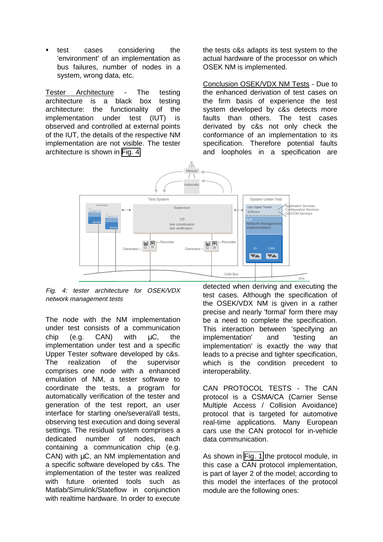test cases considering the 'environment' of an implementation as bus failures, number of nodes in a system, wrong data, etc.

Tester Architecture - The testing architecture is a black box testing architecture: the functionality of the implementation under test (IUT) is observed and controlled at external points of the IUT, the details of the respective NM implementation are not visible. The tester architecture is shown in Fig. 4.

the tests c&s adapts its test system to the actual hardware of the processor on which OSEK NM is implemented.

Conclusion OSEK/VDX NM Tests - Due to the enhanced derivation of test cases on the firm basis of experience the test system developed by c&s detects more faults than others. The test cases derivated by c&s not only check the conformance of an implementation to its specification. Therefore potential faults and loopholes in a specification are



Fig. 4: tester architecture for OSEK/VDX network management tests

The node with the NM implementation under test consists of a communication chip (e.g. CAN) with uC, the implementation under test and a specific Upper Tester software developed by c&s. The realization of the supervisor comprises one node with a enhanced emulation of NM, a tester software to coordinate the tests, a program for automatically verification of the tester and generation of the test report, an user interface for starting one/several/all tests, observing test execution and doing several settings. The residual system comprises a dedicated number of nodes, each containing a communication chip (e.g. CAN) with  $\mu$ C, an NM implementation and a specific software developed by c&s. The implementation of the tester was realized with future oriented tools such as Matlab/Simulink/Stateflow in conjunction with realtime hardware. In order to execute

detected when deriving and executing the test cases. Although the specification of the OSEK/VDX NM is given in a rather precise and nearly 'formal' form there may be a need to complete the specification. This interaction between 'specifying an implementation' and 'testing an implementation' is exactly the way that leads to a precise and tighter specification, which is the condition precedent to interoperability.

CAN PROTOCOL TESTS - The CAN protocol is a CSMA/CA (Carrier Sense Multiple Access / Collision Avoidance) protocol that is targeted for automotive real-time applications. Many European cars use the CAN protocol for in-vehicle data communication.

As shown in Fig. 1 the protocol module, in this case a CAN protocol implementation, is part of layer 2 of the model; according to this model the interfaces of the protocol module are t[he follo](#page-2-0)wing ones: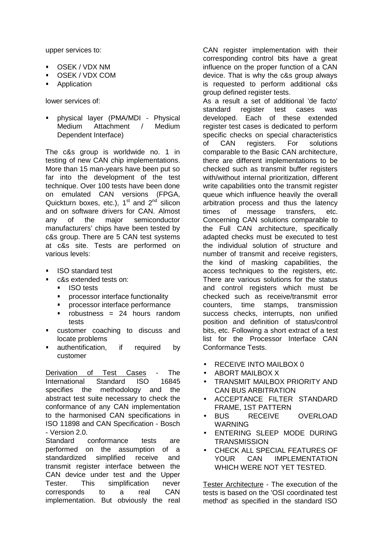upper services to:

- OSEK / VDX NM
- OSEK / VDX COM
- Application

lower services of:

 physical layer (PMA/MDI - Physical Medium Attachment / Medium Dependent Interface)

The c&s group is worldwide no. 1 in testing of new CAN chip implementations. More than 15 man-years have been put so far into the development of the test technique. Over 100 tests have been done on emulated CAN versions (FPGA, Quickturn boxes, etc.),  $1^{st}$  and  $2^{nd}$  silicon and on software drivers for CAN. Almost any of the major semiconductor manufacturers' chips have been tested by c&s group. There are 5 CAN test systems at c&s site. Tests are performed on various levels:

- ISO standard test
- c&s extended tests on:
	- ISO tests
		- processor interface functionality
		- **PEDITE:** processor interface performance
		- robustness =  $24$  hours random tests
- customer coaching to discuss and locate problems
- authentification, if required by customer

Derivation of Test Cases - The International Standard ISO 16845 specifies the methodology and the abstract test suite necessary to check the conformance of any CAN implementation to the harmonised CAN specifications in ISO 11898 and CAN Specification - Bosch - Version 2.0.

Standard conformance tests are performed on the assumption of a standardized simplified receive and transmit register interface between the CAN device under test and the Upper Tester. This simplification never corresponds to a real CAN implementation. But obviously the real

CAN register implementation with their corresponding control bits have a great influence on the proper function of a CAN device. That is why the c&s group always is requested to perform additional c&s group defined register tests.

As a result a set of additional 'de facto' standard register test cases was developed. Each of these extended register test cases is dedicated to perform specific checks on special characteristics of CAN registers. For solutions comparable to the Basic CAN architecture, there are different implementations to be checked such as transmit buffer registers with/without internal prioritization, different write capabilities onto the transmit register queue which influence heavily the overall arbitration process and thus the latency times of message transfers, etc. Concerning CAN solutions comparable to the Full CAN architecture, specifically adapted checks must be executed to test the individual solution of structure and number of transmit and receive registers, the kind of masking capabilities, the access techniques to the registers, etc. There are various solutions for the status and control registers which must be checked such as receive/transmit error counters, time stamps, transmission success checks, interrupts, non unified position and definition of status/control bits, etc. Following a short extract of a test list for the Processor Interface CAN Conformance Tests.

- RECEIVE INTO MAILBOX 0
- ABORT MAILBOX X
- TRANSMIT MAILBOX PRIORITY AND CAN BUS ARBITRATION
- ACCEPTANCE FILTER STANDARD FRAME, 1ST PATTERN
- BUS RECEIVE OVERLOAD WARNING
- ENTERING SLEEP MODE DURING **TRANSMISSION**
- CHECK ALL SPECIAL FEATURES OF YOUR CAN IMPLEMENTATION WHICH WERE NOT YET TESTED.

Tester Architecture - The execution of the tests is based on the 'OSI coordinated test method' as specified in the standard ISO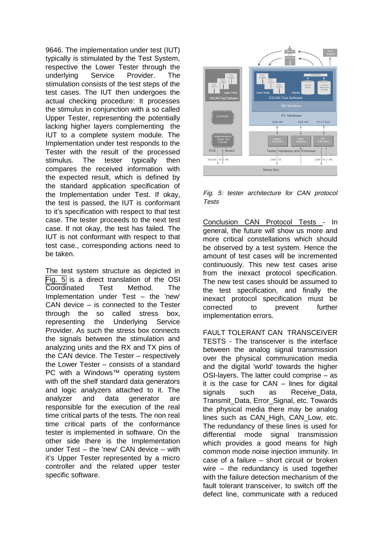9646. The implementation under test (IUT) typically is stimulated by the Test System, respective the Lower Tester through the underlying Service Provider. The stimulation consists of the test steps of the test cases. The IUT then undergoes the actual checking procedure: It processes the stimulus in conjunction with a so called Upper Tester, representing the potentially lacking higher layers complementing the IUT to a complete system module. The Implementation under test responds to the Tester with the result of the processed stimulus. The tester typically then compares the received information with the expected result, which is defined by the standard application specification of the Implementation under Test. If okay, the test is passed, the IUT is conformant to it's specification with respect to that test case. The tester proceeds to the next test case. If not okay, the test has failed. The IUT is not conformant with respect to that test case., corresponding actions need to be taken.

The test system structure as depicted in Fig. 5 is a direct translation of the OSI Coordinated Test Method. The Implementation under Test – the 'new' CAN device – is connected to the Tester through the so called stress box, representing the Underlying Service Provider. As such the stress box connects the signals between the stimulation and analyzing units and the RX and TX pins of the CAN device. The Tester – respectively the Lower Tester – consists of a standard PC with a Windows<sup>™</sup> operating system with off the shelf standard data generators and logic analyzers attached to it. The analyzer and data generator are responsible for the execution of the real time critical parts of the tests. The non real time critical parts of the conformance tester is implemented in software. On the other side there is the Implementation under Test – the 'new' CAN device – with it's Upper Tester represented by a micro controller and the related upper tester specific software.



Fig. 5: tester architecture for CAN protocol Tests

Conclusion CAN Protocol Tests - In general, the future will show us more and more critical constellations which should be observed by a test system. Hence the amount of test cases will be incremented continuously. This new test cases arise from the inexact protocol specification. The new test cases should be assumed to the test specification, and finally the inexact protocol specification must be corrected to prevent further implementation errors.

FAULT TOLERANT CAN TRANSCEIVER TESTS - The transceiver is the interface between the analog signal transmission over the physical communication media and the digital 'world' towards the higher OSI-layers. The latter could comprise – as it is the case for  $CAN - lines$  for digital signals such as Receive Data, Transmit\_Data, Error\_Signal, etc. Towards the physical media there may be analog lines such as CAN\_High, CAN\_Low, etc. The redundancy of these lines is used for differential mode signal transmission which provides a good means for high common mode noise injection immunity. In case of a failure – short circuit or broken wire – the redundancy is used together with the failure detection mechanism of the fault tolerant transceiver, to switch off the defect line, communicate with a reduced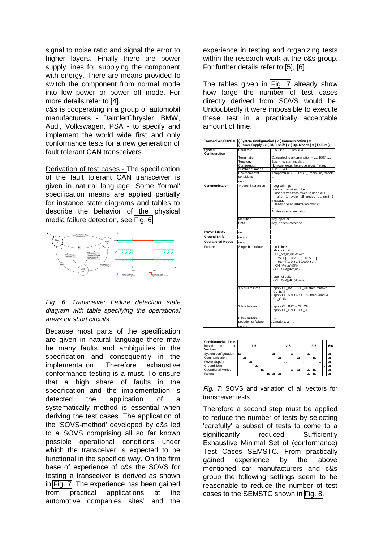signal to noise ratio and signal the error to higher layers. Finally there are power supply lines for supplying the component with energy. There are means provided to switch the component from normal mode into low power or power off mode. For more details refer to [4].

c&s is cooperating in a group of automobil manufacturers - DaimlerChrysler, BMW, Audi, Volkswagen, PSA - to specify and implement the world wide first and only conformance tests for a new generation of fault tolerant CAN transceivers.

Derivation of test cases - The specification of the fault tolerant CAN transceiver is given in natural language. Some 'formal' specification means are applied partially for instance state diagrams and tables to describe the behavior of the physical media failure detection, see Fig. 6.



#### Fig. 6: Transceiver Failure detection state diagram with table specifying the operational areas for short circuits

Because most parts of the specification are given in natural language there may be many faults and ambiguities in the specification and consequently in the implementation. Therefore exhaustive conformance testing is a must. To ensure that a high share of faults in the specification and the implementation is detected the application of a systematically method is essential when deriving the test cases. The application of the 'SOVS-method' developed by c&s led to a SOVS comprising all so far known possible operational conditions under which the transceiver is expected to be functional in the specified way. On the firm base of experience of c&s the SOVS for testing a transceiver is derived as shown in Fig. 7. The experience has been gained from practical applications at the automotive companies sites' and the

experience in testing and organizing tests within the research work at the c&s group. For further details refer to [5], [6].

The tables given in Fig. 7 already show how large the number of test cases directly derived from SOVS would be. Undoubtedly it were impossible to execute these test in a practically acceptable amount of time.

| Transceiver-SOVS =       | { System Configuration } x { Communication } x<br>{ Power Supply } x { GND Shift } x { Op. Modes } x { Failure } |                                                                                                                                                                                                                                                                                                                      |  |  |  |
|--------------------------|------------------------------------------------------------------------------------------------------------------|----------------------------------------------------------------------------------------------------------------------------------------------------------------------------------------------------------------------------------------------------------------------------------------------------------------------|--|--|--|
| System<br>Configuration  | Baud rate                                                                                                        | 5 k Bd   125 kBd                                                                                                                                                                                                                                                                                                     |  |  |  |
|                          | Termination                                                                                                      | Calculated total termination = $100\Omega$                                                                                                                                                                                                                                                                           |  |  |  |
|                          | Topology                                                                                                         | Bus, ring, star, mesh,                                                                                                                                                                                                                                                                                               |  |  |  |
|                          | Composition                                                                                                      | Homogeneous, heterogeneous (ratio),                                                                                                                                                                                                                                                                                  |  |  |  |
|                          | Number of nodes                                                                                                  | $1, 2, \ldots, 40, \ldots$                                                                                                                                                                                                                                                                                           |  |  |  |
|                          | Environmental                                                                                                    | Temperature ( 20°C), moisture, shock,                                                                                                                                                                                                                                                                                |  |  |  |
|                          | conditions                                                                                                       |                                                                                                                                                                                                                                                                                                                      |  |  |  |
|                          |                                                                                                                  |                                                                                                                                                                                                                                                                                                                      |  |  |  |
| Communication            | Nodes' interaction                                                                                               | - Logical ring:<br>- node x receives token<br>- node x transmits token to node x+1<br>- after 1 cycle all nodes transmit 1<br>message<br>leading to an arbitration conflict<br>Arbitrary communication                                                                                                               |  |  |  |
|                          | Identifier                                                                                                       | Any, special,                                                                                                                                                                                                                                                                                                        |  |  |  |
|                          | Data                                                                                                             | Any, nodes reference,                                                                                                                                                                                                                                                                                                |  |  |  |
|                          | .                                                                                                                |                                                                                                                                                                                                                                                                                                                      |  |  |  |
| <b>Power Supply</b>      | .                                                                                                                |                                                                                                                                                                                                                                                                                                                      |  |  |  |
| <b>Ground Shift</b>      | .                                                                                                                |                                                                                                                                                                                                                                                                                                                      |  |  |  |
| <b>Operational Modes</b> |                                                                                                                  |                                                                                                                                                                                                                                                                                                                      |  |  |  |
| Failure                  | Single bus failure<br>1.5 bus failures                                                                           | - no failure<br>- short circuit:<br>- CL Vx(up)@Rx with:<br>$-Vx =$ [ -3 V  + 18 V ]<br>- Rx = [, $0\Omega$ 50.000 $\Omega$ ]<br>- CH Vx(up)@Rx<br>- CL OW@Rx(up)<br>$\cdots$<br>- open circuit:<br>- CL OW@Rx(down)<br>- apply CL BAT + CL CH then remove<br>CL BAT<br>- apply CL_GND + CL_CH then remove<br>CL GND |  |  |  |
|                          | 2 bus failures<br>n bus failures<br>Location of failure                                                          | - apply CL BAT + CL CH<br>- apply CL GND + CL CH<br>$\sim$<br>At node 1, 2,                                                                                                                                                                                                                                          |  |  |  |

| <b>Combinatorial Tests</b><br>based<br>the<br>on<br><b>Vectors</b> |   | 1:6 |   |    |    |   | 2:6      |   |   |    | 3:6 |  | 6:6 |
|--------------------------------------------------------------------|---|-----|---|----|----|---|----------|---|---|----|-----|--|-----|
| System configuration                                               | × |     |   |    | x  |   |          | × |   | ×  |     |  | ×   |
| Communication                                                      | × |     |   |    |    | × |          |   | × |    | ×   |  | ×   |
| Power Supply                                                       |   | ×   |   |    |    |   | $\cdots$ |   |   |    |     |  | ×   |
| <b>Ground Shift</b>                                                |   | ×   |   |    |    |   |          |   |   |    |     |  | ×   |
| <b>Operational Modes</b>                                           |   |     | × |    |    |   |          | × | × | ΙX | ×   |  | ×   |
| Failure                                                            |   |     |   | ΙX | Γx | x |          |   |   | ΙX | ×   |  | ×   |

Fig. 7: SOVS and variation of all vectors for transceiver tests

Therefore a second step must be applied to reduce the number of tests by selecting 'carefully' a subset of tests to come to a significantly reduced Sufficiently Exhaustive Minimal Set of (conformance) Test Cases SEMSTC. From practically gained experience by the above mentioned car manufacturers and c&s group the following settings seem to be reasonable to reduce the number of test cases to the SEMSTC shown in Fig. 8.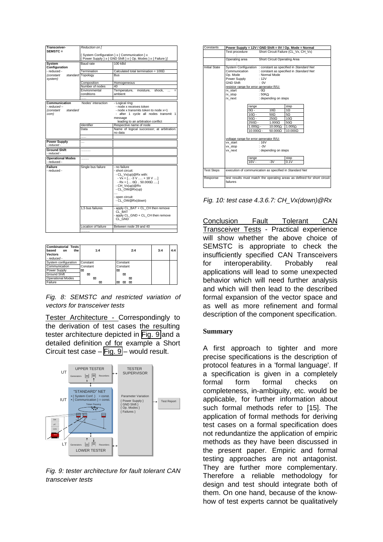| Transceiver-             | Reduction on [      |                                                                 |
|--------------------------|---------------------|-----------------------------------------------------------------|
| SEMSTC =                 |                     |                                                                 |
|                          |                     | { System Configuration } x { Communication } x                  |
|                          |                     | { Power Supply } x { GND Shift } x { Op. Modes } x { Failure }] |
| System                   | Baud rate           | 100 kBd                                                         |
| Configuration            |                     |                                                                 |
| - reduced -              | Termination         | Calculated total termination = $100\Omega$                      |
| (constant                | standard Topology   | <b>Bus</b>                                                      |
| system)                  |                     |                                                                 |
|                          | Composition         | Homogeneous                                                     |
|                          | Number of nodes     | 40                                                              |
|                          | Environmental       | Temperature,<br>moisture.<br>shock.                             |
|                          | conditions          | ambient                                                         |
|                          | .                   |                                                                 |
| Communication            | Nodes' interaction  | - Logical ring:                                                 |
| - reduced -              |                     | - node x receives token                                         |
| (constant<br>standard    |                     | - node x transmits token to node x+1                            |
| com)                     |                     | - after 1 cycle all nodes transmit 1                            |
|                          |                     | message                                                         |
|                          |                     | leading to an arbitration conflict                              |
|                          | Identifier          | Respective name of node                                         |
|                          | Data                | Name of logical successor; at arbitration:                      |
|                          |                     | no data                                                         |
|                          | .                   |                                                                 |
| <b>Power Supply</b>      | .                   |                                                                 |
| - reduced -              |                     |                                                                 |
| <b>Ground Shift</b>      | .                   |                                                                 |
| - reduced -              |                     |                                                                 |
| <b>Operational Modes</b> | .                   |                                                                 |
| - reduced -              |                     |                                                                 |
|                          |                     |                                                                 |
|                          |                     |                                                                 |
| <b>Failure</b>           | Single bus failure  | - no failure                                                    |
| - reduced -              |                     | - short circuit:                                                |
|                          |                     | - CL Vx(up)@Rx with:                                            |
|                          |                     | $-Vx =$ [ -3 V  + 18 V ]                                        |
|                          |                     | $-Rx =$ [, 0Ω ., 50.000Ω ]                                      |
|                          |                     | - CH Vx(up)@Rx                                                  |
|                          |                     | - CL OW@Rx(up)                                                  |
|                          |                     |                                                                 |
|                          |                     | - open circuit:                                                 |
|                          |                     | - CL OW@Rx(down)                                                |
|                          |                     |                                                                 |
|                          | 1.5 bus failures    | - apply CL_BAT + CL_CH then remove                              |
|                          |                     | CL BAT                                                          |
|                          |                     | - apply CL_GND + CL_CH then remove                              |
|                          |                     | CL GND                                                          |
|                          | Location of failure | Between node 39 and 40                                          |

| <b>Combinatorial Tests</b><br>based<br>the<br>on<br><b>Vectors</b><br>- reduced - | 1:4      | 2:4         | 3:4 | 4:4 |
|-----------------------------------------------------------------------------------|----------|-------------|-----|-----|
| System configuration                                                              | Constant | Constant    |     |     |
| Communication                                                                     | Constant | Constant    |     |     |
| Power Supply                                                                      | ×        | ×           |     |     |
| <b>Ground Shift</b>                                                               | ×        | ×           |     |     |
| <b>Operational Modes</b>                                                          | ×        | x           |     |     |
| Failure                                                                           | ×        | ×<br>X<br>× |     |     |

Fig. 8: SEMSTC and restricted variation of vectors for transceiver tests

Tester Architecture - Correspondingly to the derivation of test cases the resulting tester architecture depicted in Fig. 9 and a detailed definition of for example a Short Circuit test case – Fig. 9 – would result.



Fig. 9: tester architecture for fault tolerant CAN transceiver tests

| Constants            | Power Supply = 12V / GND Shift = 0V / Op. Mode = Normal                              |                      |                                                              |                                      |  |  |  |  |  |
|----------------------|--------------------------------------------------------------------------------------|----------------------|--------------------------------------------------------------|--------------------------------------|--|--|--|--|--|
|                      | Test procedure                                                                       |                      |                                                              | Short Circuit Failure (CL Vx, CH Vx) |  |  |  |  |  |
|                      | Operating area                                                                       |                      | Short Circuit Operating Area                                 |                                      |  |  |  |  |  |
|                      |                                                                                      |                      |                                                              |                                      |  |  |  |  |  |
| <b>Initial State</b> |                                                                                      |                      | System Configuration : constant as specified in Standard Net |                                      |  |  |  |  |  |
|                      | Communication                                                                        |                      | : constant as specified in Standard Net                      |                                      |  |  |  |  |  |
|                      | Op. Mode                                                                             |                      | : Normal Mode                                                |                                      |  |  |  |  |  |
|                      | Power Supply                                                                         | :12V                 |                                                              |                                      |  |  |  |  |  |
|                      | <b>GND Shift</b>                                                                     | : 0V                 |                                                              |                                      |  |  |  |  |  |
|                      | resistor range for error generator R/U:                                              |                      |                                                              |                                      |  |  |  |  |  |
|                      | rx start                                                                             | : 0 <sub>Q</sub>     |                                                              |                                      |  |  |  |  |  |
|                      | rx stop                                                                              | :50K <sub>2</sub>    |                                                              |                                      |  |  |  |  |  |
|                      | rx next                                                                              | : depending on steps |                                                              |                                      |  |  |  |  |  |
|                      |                                                                                      | range                |                                                              | step                                 |  |  |  |  |  |
|                      |                                                                                      | $-$ 00               | $10\Omega$                                                   | $1\Omega$                            |  |  |  |  |  |
|                      |                                                                                      | $10\Omega -$         | $50\Omega$                                                   | $5\Omega$                            |  |  |  |  |  |
|                      |                                                                                      | $50\Omega$ -         | 250Ω                                                         | $10\Omega$                           |  |  |  |  |  |
|                      |                                                                                      | $250\Omega$ -        | 1.000 $\Omega$                                               | $50\Omega$                           |  |  |  |  |  |
|                      |                                                                                      | $1.000\Omega$ -      | 10.000 $\Omega$                                              | $1.000\Omega$                        |  |  |  |  |  |
|                      |                                                                                      | $10.000\Omega -$     | $50.000\Omega$                                               | $10.000\Omega$                       |  |  |  |  |  |
|                      | voltage range for error generator R/U:                                               |                      |                                                              |                                      |  |  |  |  |  |
|                      | vx start                                                                             | :16V                 |                                                              |                                      |  |  |  |  |  |
|                      | vx stop                                                                              | $: -3V$              |                                                              |                                      |  |  |  |  |  |
|                      | : depending on steps<br>vx next                                                      |                      |                                                              |                                      |  |  |  |  |  |
|                      |                                                                                      | range                |                                                              | step                                 |  |  |  |  |  |
|                      |                                                                                      | $16V -$              | $-3V$                                                        | 0.1V                                 |  |  |  |  |  |
| <b>Test Steps</b>    | execution of communication as specified in Standard Net                              |                      |                                                              |                                      |  |  |  |  |  |
| Response             | test results must match the operating areas as defined for short circuit<br>failures |                      |                                                              |                                      |  |  |  |  |  |

Fig. 10: test case 4.3.6.7: CH\_Vx(down)@Rx

Conclusion Fault Tolerant CAN Transceiver Tests - Practical experience will show whether the above choice of SEMSTC is appropriate to check the insufficiently specified CAN Transceivers for interoperability. Probably real applications will lead to some unexpected behavior which will need further analysis and which will then lead to the described formal expansion of the vector space and as well as more refinement and formal description of the component specification.

#### **Summary**

A first approach to tighter and more precise specifications is the description of protocol features in a 'formal language'. If a specification is given in a completely formal form formal checks on completeness, in-ambiguity, etc. would be applicable, for further information about such formal methods refer to [15]. The application of formal methods for deriving test cases on a formal specification does not redundantize the application of empiric methods as they have been discussed in the present paper. Empiric and formal testing approaches are not antagonist. They are further more complementary. Therefore a reliable methodology for design and test should integrate both of them. On one hand, because of the knowhow of test experts cannot be qualitatively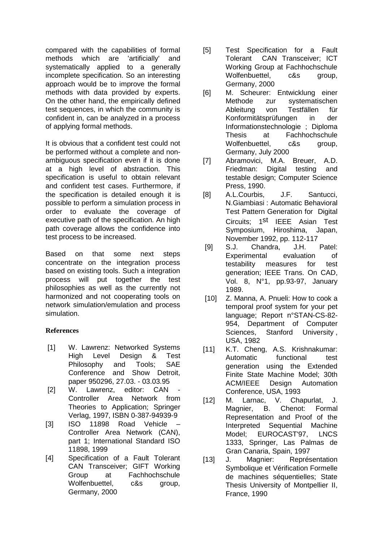compared with the capabilities of formal methods which are 'artificially' and systematically applied to a generally incomplete specification. So an interesting approach would be to improve the formal methods with data provided by experts. On the other hand, the empirically defined test sequences, in which the community is confident in, can be analyzed in a process of applying formal methods.

It is obvious that a confident test could not be performed without a complete and nonambiguous specification even if it is done at a high level of abstraction. This specification is useful to obtain relevant and confident test cases. Furthermore, if the specification is detailed enough it is possible to perform a simulation process in order to evaluate the coverage of executive path of the specification. An high path coverage allows the confidence into test process to be increased.

Based on that some next steps concentrate on the integration process based on existing tools. Such a integration process will put together the test philosophies as well as the currently not harmonized and not cooperating tools on network simulation/emulation and process simulation.

## **References**

- [1] W. Lawrenz: Networked Systems High Level Design & Test Philosophy and Tools; SAE Conference and Show Detroit, paper 950296, 27.03. - 03.03.95
- [2] W. Lawrenz, editor: CAN Controller Area Network from Theories to Application; Springer Verlag, 1997, ISBN 0-387-94939-9
- [3] ISO 11898 Road Vehicle Controller Area Network (CAN), part 1; International Standard ISO 11898, 1999
- [4] Specification of a Fault Tolerant CAN Transceiver; GIFT Working Group at Fachhochschule Wolfenbuettel, c&s group, Germany, 2000
- [5] Test Specification for a Fault Tolerant CAN Transceiver; ICT Working Group at Fachhochschule Wolfenbuettel, c&s group, Germany, 2000
- [6] M. Scheurer: Entwicklung einer Methode zur systematischen Ableitung von Testfällen für Konformitätsprüfungen in der Informationstechnologie ; Diploma Thesis at Fachhochschule Wolfenbuettel, c&s group, Germany, July 2000
- [7] Abramovici, M.A. Breuer, A.D. Friedman: Digital testing and testable design; Computer Science Press, 1990.
- [8] A.L.Courbis, J.F. Santucci, N.Giambiasi : Automatic Behavioral Test Pattern Generation for Digital Circuits; 1<sup>st</sup> IEEE Asian Test Symposium, Hiroshima, Japan, November 1992, pp. 112-117
- [9] S.J. Chandra, J.H. Patel: Experimental evaluation of testability measures for test generation; IEEE Trans. On CAD, Vol. 8, N°1, pp.93-97, January 1989.
- [10] Z. Manna, A. Pnueli: How to cook a temporal proof system for your pet language; Report n°STAN-CS-82- 954, Department of Computer Sciences, Stanford University , USA, 1982
- [11] K.T. Cheng, A.S. Krishnakumar: Automatic functional test generation using the Extended Finite State Machine Model; 30th ACM/IEEE Design Automation Conference, USA, 1993
- [12] M. Larnac, V. Chapurlat, J. Magnier, B. Chenot: Formal Representation and Proof of the Interpreted Sequential Machine Model; EUROCAST'97, LNCS 1333, Springer, Las Palmas de Gran Canaria, Spain, 1997
- [13] J. Magnier: Représentation Symbolique et Vérification Formelle de machines séquentielles; State Thesis University of Montpellier II, France, 1990